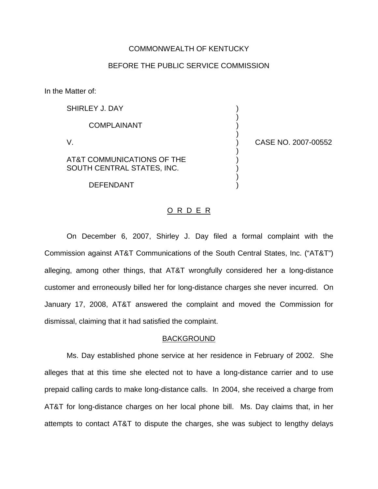## COMMONWEALTH OF KENTUCKY

## BEFORE THE PUBLIC SERVICE COMMISSION

In the Matter of:

| SHIRLEY J. DAY                                           |  |
|----------------------------------------------------------|--|
| <b>COMPLAINANT</b>                                       |  |
| $\vee$                                                   |  |
| AT&T COMMUNICATIONS OF THE<br>SOUTH CENTRAL STATES, INC. |  |
|                                                          |  |

DEFENDANT )

ASE NO. 2007-00552

## O R D E R

On December 6, 2007, Shirley J. Day filed a formal complaint with the Commission against AT&T Communications of the South Central States, Inc. ("AT&T") alleging, among other things, that AT&T wrongfully considered her a long-distance customer and erroneously billed her for long-distance charges she never incurred. On January 17, 2008, AT&T answered the complaint and moved the Commission for dismissal, claiming that it had satisfied the complaint.

## BACKGROUND

Ms. Day established phone service at her residence in February of 2002. She alleges that at this time she elected not to have a long-distance carrier and to use prepaid calling cards to make long-distance calls. In 2004, she received a charge from AT&T for long-distance charges on her local phone bill. Ms. Day claims that, in her attempts to contact AT&T to dispute the charges, she was subject to lengthy delays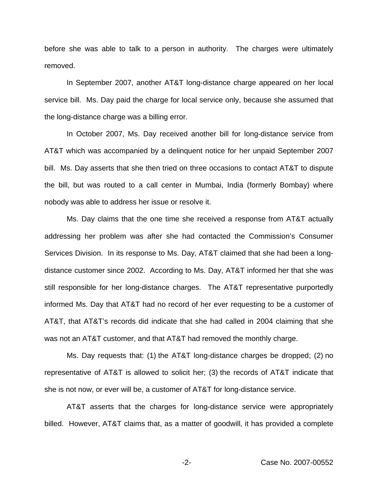before she was able to talk to a person in authority. The charges were ultimately removed.

In September 2007, another AT&T long-distance charge appeared on her local service bill. Ms. Day paid the charge for local service only, because she assumed that the long-distance charge was a billing error.

In October 2007, Ms. Day received another bill for long-distance service from AT&T which was accompanied by a delinquent notice for her unpaid September 2007 bill. Ms. Day asserts that she then tried on three occasions to contact AT&T to dispute the bill, but was routed to a call center in Mumbai, India (formerly Bombay) where nobody was able to address her issue or resolve it.

Ms. Day claims that the one time she received a response from AT&T actually addressing her problem was after she had contacted the Commission's Consumer Services Division. In its response to Ms. Day, AT&T claimed that she had been a longdistance customer since 2002. According to Ms. Day, AT&T informed her that she was still responsible for her long-distance charges. The AT&T representative purportedly informed Ms. Day that AT&T had no record of her ever requesting to be a customer of AT&T, that AT&T's records did indicate that she had called in 2004 claiming that she was not an AT&T customer, and that AT&T had removed the monthly charge.

Ms. Day requests that: (1) the AT&T long-distance charges be dropped; (2) no representative of AT&T is allowed to solicit her; (3) the records of AT&T indicate that she is not now, or ever will be, a customer of AT&T for long-distance service.

AT&T asserts that the charges for long-distance service were appropriately billed. However, AT&T claims that, as a matter of goodwill, it has provided a complete